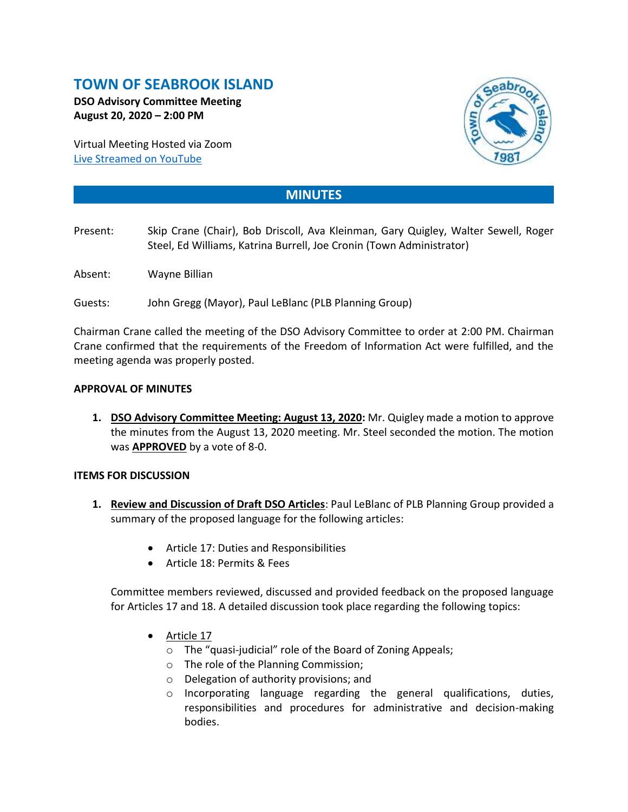# **TOWN OF SEABROOK ISLAND**

**DSO Advisory Committee Meeting August 20, 2020 – 2:00 PM**

Virtual Meeting Hosted via Zoom [Live Streamed on](https://www.youtube.com/channel/UCIkF87knEApHD1q0kGlaGZg) YouTube



## **MINUTES**

- Present: Skip Crane (Chair), Bob Driscoll, Ava Kleinman, Gary Quigley, Walter Sewell, Roger Steel, Ed Williams, Katrina Burrell, Joe Cronin (Town Administrator)
- Absent: Wayne Billian
- Guests: John Gregg (Mayor), Paul LeBlanc (PLB Planning Group)

Chairman Crane called the meeting of the DSO Advisory Committee to order at 2:00 PM. Chairman Crane confirmed that the requirements of the Freedom of Information Act were fulfilled, and the meeting agenda was properly posted.

#### **APPROVAL OF MINUTES**

**1. DSO Advisory Committee Meeting: August 13, 2020:** Mr. Quigley made a motion to approve the minutes from the August 13, 2020 meeting. Mr. Steel seconded the motion. The motion was **APPROVED** by a vote of 8-0.

#### **ITEMS FOR DISCUSSION**

- **1. Review and Discussion of Draft DSO Articles**: Paul LeBlanc of PLB Planning Group provided a summary of the proposed language for the following articles:
	- Article 17: Duties and Responsibilities
	- Article 18: Permits & Fees

Committee members reviewed, discussed and provided feedback on the proposed language for Articles 17 and 18. A detailed discussion took place regarding the following topics:

- Article 17
	- o The "quasi-judicial" role of the Board of Zoning Appeals;
	- o The role of the Planning Commission;
	- o Delegation of authority provisions; and
	- o Incorporating language regarding the general qualifications, duties, responsibilities and procedures for administrative and decision-making bodies.